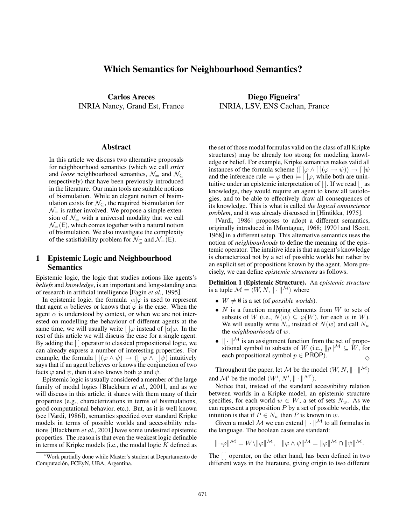# Which Semantics for Neighbourhood Semantics?

Carlos Areces INRIA Nancy, Grand Est, France

#### Abstract

In this article we discuss two alternative proposals for neighbourhood semantics (which we call *strict* and *loose* neighbourhood semantics,  $\mathcal{N}_=$  and  $\mathcal{N}_\subset$ respectively) that have been previously introduced in the literature. Our main tools are suitable notions of bisimulation. While an elegant notion of bisimulation exists for  $\mathcal{N}_{\subseteq}$ , the required bisimulation for  $\mathcal{N}_{=}$  is rather involved. We propose a simple extension of  $\mathcal{N}_{=}$  with a universal modality that we call  $\mathcal{N}_{=}(\mathsf{E})$ , which comes together with a natural notion of bisimulation. We also investigate the complexity of the satisfiability problem for  $\mathcal{N}_{\subseteq}$  and  $\mathcal{N}_{=}(\mathsf{E})$ .

## 1 Epistemic Logic and Neighbourhood Semantics

Epistemic logic, the logic that studies notions like agents's *beliefs* and *knowledge*, is an important and long-standing area of research in artificial intelligence [Fagin *et al.*, 1995].

In epistemic logic, the formula  $\alpha | \varphi$  is used to represent that agent  $\alpha$  believes or knows that  $\varphi$  is the case. When the agent  $\alpha$  is understood by context, or when we are not interested on modelling the behaviour of different agents at the same time, we will usually write  $\int \phi$  instead of  $\int \alpha \phi$ . In the rest of this article we will discuss the case for a single agent. By adding the [ ] operator to classical propositional logic, we can already express a number of interesting properties. For example, the formula  $[\,](\varphi \wedge \psi) \rightarrow ([\,]\varphi \wedge [\,]\psi)$  intuitively says that if an agent believes or knows the conjunction of two facts  $\varphi$  and  $\psi$ , then it also knows both  $\varphi$  and  $\psi$ .

Epistemic logic is usually considered a member of the large family of modal logics [Blackburn *et al.*, 2001], and as we will discuss in this article, it shares with them many of their properties (e.g., characterizations in terms of bisimulations, good computational behavior, etc.). But, as it is well known (see [Vardi, 1986]), semantics specified over standard Kripke models in terms of possible worlds and accessibility relations [Blackburn *et al.*, 2001] have some undesired epistemic properties. The reason is that even the weakest logic definable in terms of Kripke models (i.e., the modal logic  $K$  defined as

Diego Figueira<sup>∗</sup> INRIA, LSV, ENS Cachan, France

the set of those modal formulas valid on the class of all Kripke structures) may be already too strong for modeling knowledge or belief. For example, Kripke semantics makes valid all instances of the formula scheme  $([ \,] \varphi \wedge [ \,] (\varphi \rightarrow \psi)) \rightarrow [ \,] \psi$ and the inference rule  $\models \varphi$  then  $\models [\varphi, \varphi]$ , while both are unintuitive under an epistemic interpretation of [ ]. If we read [ ] as knowledge, they would require an agent to know all tautologies, and to be able to effectively draw all consequences of its knowledge. This is what is called *the logical omniscience problem*, and it was already discussed in [Hintikka, 1975].

[Vardi, 1986] proposes to adopt a different semantics, originally introduced in [Montague, 1968; 1970] and [Scott, 1968] in a different setup. This alternative semantics uses the notion of *neighbourhoods* to define the meaning of the epistemic operator. The intuitive idea is that an agent's knowledge is characterized not by a set of possible worlds but rather by an explicit set of propositions known by the agent. More precisely, we can define *epistemic structures* as follows.

Definition 1 (Epistemic Structure). An *epistemic structure* is a tuple  $\mathcal{M} = \langle W, N, \|\cdot\|^{\mathcal{M}}\rangle$  where

- $W \neq \emptyset$  is a set (of *possible worlds*).
- $N$  is a function mapping elements from  $W$  to sets of subsets of W (i.e.,  $N(w) \subseteq \wp(W)$ , for each w in W). We will usually write  $N_w$  instead of  $N(w)$  and call  $N_w$ the *neighbourhoods* of w.
- $\|\cdot\|$ <sup>M</sup> is an assignment function from the set of propositional symbol to subsets of W (i.e.,  $||p||^{\mathcal{M}} \subseteq W$ , for each propositional symbol  $p \in \text{PROP}$ ).

Throughout the paper, let M be the model  $\langle W, N, \|\cdot\|^{\mathcal{M}}\rangle$ and M' be the model  $\langle W', N', \|\cdot\|^{M'} \rangle$ .

Notice that, instead of the standard accessibility relation between worlds in a Kripke model, an epistemic structure specifies, for each world  $w \in W$ , a set of sets  $N_w$ . As we can represent a proposition  $P$  by a set of possible worlds, the intuition is that if  $\tilde{P} \in N_w$  then P is known in w.

Given a model M we can extend  $\|\cdot\|$ <sup>M</sup> to all formulas in the language. The boolean cases are standard:

$$
\|\neg\varphi\|^{\mathcal{M}}=W\setminus\|\varphi\|^{\mathcal{M}},\quad\|\varphi\wedge\psi\|^{\mathcal{M}}=\|\varphi\|^{\mathcal{M}}\cap\|\psi\|^{\mathcal{M}}.
$$

The [ ] operator, on the other hand, has been defined in two different ways in the literature, giving origin to two different

<sup>∗</sup>Work partially done while Master's student at Departamento de Computación, FCEyN, UBA, Argentina.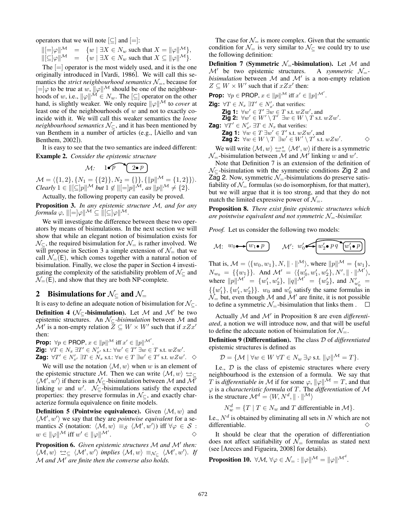operators that we will note  $[\subseteq]$  and  $[=]$ :

$$
\begin{array}{rcl}\n\Vert[\equiv]\varphi\Vert^{\mathcal{M}} & = & \{w \mid \exists X \in N_w \text{ such that } X = \|\varphi\|^{\mathcal{M}}\}, \\
\Vert[\subseteq]\varphi\Vert^{\mathcal{M}} & = & \{w \mid \exists X \in N_w \text{ such that } X \subseteq \|\varphi\|^{\mathcal{M}}\}.\n\end{array}
$$

The  $[=]$  operator is the most widely used, and it is the one originally introduced in [Vardi, 1986]. We will call this semantics the *strict neighbourhood semantics*  $\mathcal{N}_{=}$ , because for  $[=]\varphi$  to be true at  $w$ ,  $\|\varphi\|^{\mathcal{M}}$  should be one of the neighbourhoods of w, i.e.,  $\|\varphi\|^{M} \in N_{w}$ . The  $[\subseteq]$  operator on the other hand, is slightly weaker. We only require  $\|\varphi\|$ <sup>M</sup> to *cover* at least one of the neighbourhoods of  $w$  and not to exactly coincide with it. We will call this weaker semantics the *loose neighbourhood semantics*  $\mathcal{N}_\subseteq$ , and it has been mentioned by van Benthem in a number of articles (e.g., [Aiello and van Benthem, 2002]).

It is easy to see that the two semantics are indeed different: Example 2. *Consider the epistemic structure*

$$
\mathcal{M}: \quad 1 \bullet \mathcal{P} \quad \boxed{2 \bullet \mathcal{P}}
$$

 $\mathcal{M} = \langle \{1, 2\}, \{N_1 = \{\{2\}\}, N_2 = \{\}\}, \{\|p\|^{\mathcal{M}} = \{1, 2\}\}\rangle.$ *Clearly*  $1 \in ||[\subseteq]p||^{\mathcal{M}}$  *but*  $1 \notin ||[\equiv]p||^{\mathcal{M}}$ , as  $||p||^{\mathcal{M}} \neq \{2\}$ .

Actually, the following property can easily be proved.

Proposition 3. *In any epistemic structure* M*, and for any formula*  $\varphi$ ,  $\Vert[-]\varphi\Vert^{\mathcal{M}} \subseteq \Vert[\subseteq]\varphi\Vert^{\mathcal{M}}$ .

We will investigate the difference between these two operators by means of bisimulations. In the next section we will show that while an elegant notion of bisimulation exists for  $\mathcal{N}_{\subset}$ , the required bisimulation for  $\mathcal{N}_{=}$  is rather involved. We will propose in Section 3 a simple extension of  $\mathcal{N}_{=}$  that we call  $\mathcal{N}_{=}(\mathsf{E})$ , which comes together with a natural notion of bisimulation. Finally, we close the paper in Section 4 investigating the complexity of the satisfiability problem of  $\mathcal{N}_{\subset}$  and  $\mathcal{N}_{=}(\mathsf{E})$ , and show that they are both NP-complete.

### 2 Bisimulations for  $\mathcal{N}_{\subset}$  and  $\mathcal{N}_{=}$

It is easy to define an adequate notion of bisimulation for  $\mathcal{N}_{\subset}$ . **Definition 4** ( $\mathcal{N}_{\subset}$ -bisimulation). Let M and M' be two epistemic structures. An N⊆*-bisimulation* between M and  $\mathcal{M}'$  is a non-empty relation  $\overline{Z} \subseteq W \times W'$  such that if  $x \mathbb{Z} x'$ then:

**Prop:**  $\forall p \in \text{PROP}, x \in ||p||^{\mathcal{M}} \text{ iff } x' \in ||p||^{\mathcal{M}'}$ .<br>**7ig:**  $\forall T \in N$ ,  $\exists T' \in N'$ , s.t.  $\forall w' \in T'$ ,  $\exists w \in T$ **Zig:**  $\forall T \in N_x$  ∃ $T' \in N'_{x'}$  s.t.:  $\forall w' \in T'$  ∃w ∈ T s.t.  $wZw'$ .<br>Zaq:  $\forall T' \in N'$ , ∃ $T \in N$ , s.t.:  $\forall w \in T$  ∃ $w' \in T'$  s.t.  $wZw'$ . **Zag:** ∀T' ∈  $N'_{x'}$  ∃T ∈  $N_x$  s.t.:  $\forall w \in T$  ∃w' ∈ T' s.t.  $wZw'$ . ◇

We will use the notation  $\langle M, w \rangle$  when w is an element of the epistemic structure M. Then we can write  $\langle M, w \rangle \triangleq \epsilon$  $\langle M', w' \rangle$  if there is an  $\mathcal{N}_{\subseteq}$ -bisimulation between M and M' linking w and w'.  $\mathcal{N}_{\subseteq}$ -bisimulations satisfy the expected properties: they preserve formulas in  $\mathcal{N}_{\subseteq}$ , and exactly characterize formula equivalence on finite models.

**Definition 5 (Pointwise equivalence).** Given  $\langle M, w \rangle$  and  $\langle M', w' \rangle$  we say that they are *pointwise equivalent* for a semantics S (notation:  $\langle M, w \rangle \equiv_S \langle M', w' \rangle$ ) iff  $\forall \varphi \in S$ :  $w \in ||\varphi||^{\mathcal{M}}$  iff  $w' \in ||\varphi||^{\mathcal{M}'}$ .  $\Diamond$ 

Proposition 6. *Given epistemic structures*  $M$  *and*  $M'$  *then:*  $\langle \mathcal{M}, w \rangle \Leftrightarrow_{\subseteq} \langle \mathcal{M}', w' \rangle$  implies  $\langle \mathcal{M}, w \rangle \equiv_{\mathcal{N}_{\subseteq}} \langle \mathcal{M}', w' \rangle$ . If M *and* M *are finite then the converse also holds.*

The case for  $\mathcal{N}_{=}$  is more complex. Given that the semantic condition for  $\mathcal{N}_{\equiv}$  is very similar to  $\mathcal{N}_{\subseteq}$  we could try to use the following definition:

**Definition 7 (Symmetric**  $N_$ **=-bisimulation).** Let M and  $M'$  be two epistemic structures. A *symmetric*  $N_$ =  $\mathcal{M}'$  be two epistemic structures. *bisimulation* between  $M$  and  $M'$  is a non-empty relation  $Z \subseteq W \times W'$  such that if  $xZx'$  then:

**Prop:** 
$$
\forall p \in \text{PROP}, x \in ||p||^{\mathcal{M}}
$$
 iff  $x' \in ||p||^{\mathcal{M}'}$ .

**Zig:**  $\forall T \in N_x \exists T' \in N'_{x'}$  that verifies:<br>**Zig 1:**  $\forall w' \in T' \exists w \in T$  s t an Zi **Zig 1:** ∀w′ ∈  $T' \exists w \in T$  s.t.  $wZw'$ , and<br>Zig 2: ∀w′ ∈ W′ ∖  $T'$  ∃ $w \in W \setminus T$  s.t. **Zig 2:** ∀w' ∈  $W' \setminus T' \exists w \in W \setminus T$  s.t.  $wZw'$ .<br>
∀T' ∈ N'  $\exists T \in N$  that verifies: **Zag:**  $\forall T' \in N'_{x'}$   $\exists T \in N_x$  that verifies:<br>**Zag 1:**  $\forall w \in T \exists w' \in T'$  s t an Za  $Z$ ag 1:  $\forall w \in T \exists w' \in T'$  s.t.  $wZw'$ , and<br>  $Z$ ag 2:  $\forall w \in W \setminus T \exists w' \in W' \setminus T'$  s.t. **Zag 2:**  $\forall w \in W \setminus T \exists w' \in W' \setminus T'$  s.t.  $wZw'$ 

We will write  $\langle M, w \rangle \stackrel{\leftrightarrow s}{=} \langle M', w \rangle$  if there is a symmetric  $\mathcal{N}_{=}$ -bisimulation between  $\mathcal M$  and  $\mathcal M'$  linking w and w'.

 $\Diamond$ 

Note that Definition 7 is an extension of the definition of  $\mathcal{N}_{\subset}$ -bisimulation with the symmetric conditions Zig 2 and Zag 2. Now, symmetric  $\mathcal{N}_{=}$ -bisimulations do preserve satisfiability of  $\mathcal{N}_{=}$  formulas (so do isomorphism, for that matter), but we will argue that it is too strong, and that they do not match the limited expressive power of  $\mathcal{N}_{=}$ .

Proposition 8. *There exist finite epistemic structures which are pointwise equivalent and not symmetric*  $\mathcal{N}_-$ -bisimilar.

*Proof.* Let us consider the following two models:

$$
\mathcal{M}: \ w_0 \rightarrow \boxed{w_1 \bullet p} \qquad \mathcal{M}': \ w'_0 \rightarrow \boxed{w'_2 \bullet pq} \ \boxed{w'_1 \bullet p}
$$

That is,  $\mathcal{M} = \langle \{w_0, w_1\}, N, \|\cdot\|^{M} \rangle$ , where  $||p||^{\mathcal{M}} = \{w_1\},\$  $N_{w_0} = \{ \{w_1\} \}.$  And  $\mathcal{M}' = \langle \{w'_0, w'_1, w'_2\}, N', \|\cdot\|^{|\mathcal{M}'\rangle},$ where  $||p||^{\mathcal{M}'} = \{w'_1, w'_2\}, ||q||^{\mathcal{M}'} = \{w'_2\}, \text{ and } N'_{w'_0}$  $\{\{w_1'\}, \{w_1', w_2'\}\}\$ .  $w_0$  and  $w_0'$  satisfy the same formulas in  $\mathcal{N}_{=}$  but, even though M and  $\mathcal{M}'$  are finite, it is not possible to define a symmetric  $\mathcal{N}_{=}$ -bisimulation that links them .  $\Box$ 

Actually *M* and *M'* in Proposition 8 are even *differentiated*, a notion we will introduce now, and that will be useful to define the adecuate notion of bisimulation for  $\mathcal{N}_{=}$ .

Definition 9 (Differentiation). The class D of *differentiated* epistemic structures is defined as

$$
\mathcal{D} = \{ \mathcal{M} \mid \forall w \in W \; \forall T \in N_w \; \exists \varphi \; \text{s.t.} \; ||\varphi||^{\mathcal{M}} = T \}.
$$

I.e.,  $D$  is the class of epistemic structures where every neighbourhood is the extension of a formula. We say that T is *differentiable in* M if for some  $\varphi$ ,  $\|\varphi\|^{M} = T$ , and that ϕ is a *characteristic formula* of T. The *differentiation* of M is the structure  $\mathcal{M}^d = \langle W, N^d, \|\cdot\|^{M} \rangle$ 

 $N_w^d = \{T \mid T \in N_w \text{ and } T \text{ differentiable in } \mathcal{M}\}.$ 

I.e.,  $N<sup>d</sup>$  is obtained by eliminating all sets in N which are not differentiable.  $\Diamond$ 

It should be clear that the operation of differentiation does not affect satifiability of  $\mathcal{N}_{=}$  formulas as stated next (see [Areces and Figueira, 2008] for details).

**Proposition 10.**  $\forall \mathcal{M}, \forall \varphi \in \mathcal{N}_{=} : ||\varphi||^{\mathcal{M}} = ||\varphi||^{\mathcal{M}^{d}}$ .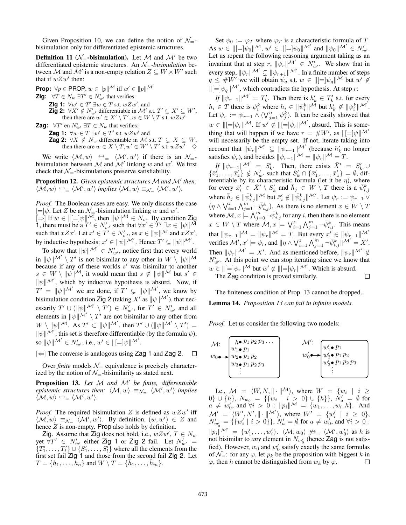Given Proposition 10, we can define the notion of  $\mathcal{N}_{-}$ bisimulation only for differentiated epistemic structures.

**Definition 11** ( $\mathcal{N}_=$ -bisimulation). Let M and  $\mathcal{M}'$  be two differentiated epistemic structures. An  $\mathcal{N}_{=}$ *-bisimulation* between M and M' is a non-empty relation  $Z \subseteq W \times W'$  such that if  $wZw'$  then:

**Prop:**  $\forall p \in \text{PROP}, w \in ||p||^{\mathcal{M}}$  iff  $w' \in ||p||^{\mathcal{M}'}$ <br>**Zigi**  $\forall T \in M$ ,  $\exists T' \in N'$ , that variance

**Zig:**  $\forall T \in N_w \exists T' \in N'_{w'}$  that verifies:<br> **Zig 1:**  $\forall w' \in T' \exists w \in T \text{ s.t. } wZw$ **Zig 1:**  $\forall w' \in T' \exists w \in T \text{ s.t. } wZw', \text{and}$ <br>7ig 2: ∀X' ∉ N' , differentiable in M' s **Zig 2:** ∀X' ∉  $N'_w$ , differentiable in M' s.t.  $T' \subsetneq X' \subseteq W'$ , then there are  $w' \in X' \setminus T'$ ,  $w \in W \setminus T$  s.t.  $wZw'$ then there are  $w' \in X' \setminus T'$ ,  $w \in W \setminus T$  s.t.  $wZw'$ 

**Zag:**  $\forall T'$  en  $N'_{w'}$   $\exists T \in N_w$  that verifies:<br>**Zog 1:**  $\forall w \in T$   $\exists w' \in T'$  at  $wZw'$ 

**Zag 1:** ∀w ∈ T ∃w' ∈ T' s.t. wZw' and<br>Zag 2: ∀X ∉ N... differentiable in M :

**Zag 2:**  $\forall X \notin N_w$  differentiable in M s.t.  $T \subseteq X \subseteq W$ ,<br>then there are  $w \in X \setminus T$   $w' \in W' \setminus T'$  s t  $wZw' \subseteq X$ then there are  $w \in X \setminus T$ ,  $w' \in W' \setminus T'$  s.t.  $wZw'$ 

We write  $\langle M, w \rangle \leftrightarrow$   $\langle M', w' \rangle$  if there is an  $\mathcal{N}_{=}$ bisimulation between M and M' linking w and w'. We first check that  $\mathcal{N}_{=}$ -bisimulations preserve satisfiability.

Proposition 12. *Given epistemic structures* M and M' then:  $\langle \mathcal{M}, w \rangle \Leftrightarrow_{\equiv \langle} \langle \mathcal{M}', w' \rangle$  implies  $\langle \mathcal{M}, w \rangle \equiv_{\mathcal{N}_{\equiv}} \langle \mathcal{M}', w' \rangle$ .

*Proof.* The Boolean cases are easy. We only discuss the case  $[=]\psi$ . Let Z be an  $\mathcal{N}_{=}$ -bisimulation linking w and w'.  $\left[\Rightarrow\right]$  If  $w \in \left\| \left[=\right] \psi \right\|^{\mathcal{M}}$ , then  $\left\| \psi \right\|^{\mathcal{M}} \in N_w$ . By condition Zig 1, there must be a  $T' \in N'_{w'}$  such that  $\forall x' \in T' \exists x \in ||\psi||^{\mathcal{M}}$ <br>such that  $rZx'$ . Let  $x' \in T' \in N'$  as  $x \in ||\psi||^{\mathcal{M}}$  and  $rZx'$ . such that  $xZx'$ . Let  $x' \in T' \in N'_{w'}$ , as  $x \in ||\psi||^{\mathcal{M}}$  and  $xZx'$ , by inductive hypothesis:  $x' \in ||\psi||^{\mathcal{M}}$ . Hence  $T' \subseteq ||\psi||^{\mathcal{M}}$ .

To show that  $\|\psi\|^{\mathcal{M}'} \in N'_{w'}$ , notice first that every world  $\lim_{M \to \infty} ||\psi||^{\mathcal{M}'} \setminus T'$  is not bisimilar to any other in  $W \setminus ||\psi||^{\mathcal{M}'}$ because if any of these worlds  $s'$  was bisimilar to another  $s \in W \setminus ||\psi||^{\mathcal{M}}$ , it would mean that  $s \notin ||\psi||^{\mathcal{M}}$  but  $s' \in$  $\|\psi\|^{M'}$ , which by inductive hypothesis is absurd. Now, if  $T' = ||\psi||^{\mathcal{M}'}$  we are done, if  $T' \subsetneq ||\psi||^{\mathcal{M}'}$ , we know by bisimulation condition  $\mathsf{Zig} \mathsf{2}$  (taking  $X'$  as  $\|\psi\|_{\mathcal{M}}'$ ), that nec-<br>executive  $T' \cup (\|\psi\|_{\mathcal{M}}' \setminus T') \subset N'$  for  $T' \subset N'$  and all essarily  $T' \cup (||\psi||^{\mathcal{M}'} \setminus T') \in N'_{w'}$ , for  $T' \in N'_{w'}$  and all elements in  $\|\psi\|^{\mathcal{M}'} \setminus T'$  are not bisimilar to any other from  $W \setminus ||\psi||^{\mathcal{M}}$ . As  $T' \subset ||\psi||^{\mathcal{M}'}$ , then  $T' \cup (||\psi||^{\mathcal{M}'} \setminus T') =$  $\|\psi\|^{\mathcal{M}'}$ , this set is therefore differentiable (by the formula  $\psi$ ), so  $\|\psi\|^{\mathcal{M}'} \in N'_{w'}$ , i.e.,  $w' \in \|[-]\psi\|^{\mathcal{M}'}$ .

 $[\Leftarrow]$  The converse is analogous using Zag 1 and Zag 2.  $\Box$ 

Over *finite* models  $\mathcal{N}_{=}$  equivalence is precisely characterized by the notion of  $\mathcal{N}_{=}$ -bisimilarity as stated next.

Proposition 13. Let M and M' be finite, differentiable *epistemic structures then:*  $\langle M, w \rangle \equiv_{\mathcal{N}_{=}} \langle M', w' \rangle$  *implies*  $\langle \mathcal{M}, w \rangle \triangleq_{\equiv} \langle \mathcal{M}', w' \rangle.$ 

*Proof.* The required bisimulation Z is defined as  $wZw'$  iff  $\langle \mathcal{M}, w \rangle \equiv_{\mathcal{N}} \langle \mathcal{M}', w' \rangle$ . By definition,  $(w, w') \in Z$  and hence  $Z$  is non-empty. Prop also holds by definition.

Zig. Assume that Zig does not hold, i.e.,  $wZw', T \in N_w$ <br>t  $\forall T' \in N'$ , either Zig 1 or Zig 2 fail Let  $N'$ ,  $=$ yet  $\forall T' \in N'_{w'}$  either Zig 1 or Zig 2 fail. Let  $N'_{w'} = \{T'_{w'} - T'_{w'}\}$  if  $S'_{w'} = S'_{w'}$  where all the elements from the  ${T'_1, \ldots, T'_t} \cup {S'_1, \ldots, S'_l}$  where all the elements from the first set fail Zig 1 and those from the second fail Zig 2. Let  $T = \{h_1, \ldots, h_n\}$  and  $W \setminus T = \{\bar{h}_1, \ldots, \bar{h}_m\}.$ 

Set  $\psi_0 := \varphi_T$  where  $\varphi_T$  is a characteristic formula of T.  $\text{As } w \in ||[]= |\psi_0||^{\mathcal{M}}, w' \in ||[]=] \psi_0||^{\mathcal{M}'} \text{ and } ||\psi_0||^{\mathcal{M}'} \in N'_{w'}.$ Let us repeat the following reasoning argument taking as an invariant that at step r,  $\|\psi_r\|^{M'} \in N'_{w'}$ . We show that in every step,  $\|\psi_r\|^{M'} \subsetneq \|\psi_{r+1}\|^{M'}$ . In a finite number of steps  $q \leq \#W'$  we will obtain  $\psi_q$  s.t.  $w \in ||[-]\psi_q||^{\mathcal{M}}$  but  $w' \notin$  $\|[-]\psi_q\|^{M'}$ , which contradicts the hypothesis. At step r:

 $\textit{If } ||\psi_{r-1}||^{\mathcal{M}'} = T'_{k}$ . Then there is  $h'_{k} \in T'_{k}$  s.t. for every  $h_i \in T$  there is  $\psi_i^k$  where  $h_i \in ||\psi_i^k||^{\mathcal{M}}$  but  $h'_k \notin ||\psi_i^k||^{\mathcal{M}'}$ . Let  $\psi_r := \psi_{r-1} \wedge (\bigvee_{j=1}^n \psi_j^k)$ . It can be easily showed that  $w \in ||[]=] \psi_r ||^{\mathcal{M}}$ . If  $w' \notin ||[]=] \psi_r ||^{\mathcal{M}'}$ , absurd. This is something that will happen if we have  $r = #W'$ , as  $\Vert[-]\psi\Vert^{\mathcal{M}'}$ will necessarily be the empty set. If not, iterate taking into account that  $\|\psi_r\|^{M'} \subsetneq \|\psi_{r-1}\|^{M'}$  (because  $h'_k$  no longer satisfies  $\psi_r$ ), and besides  $\|\psi_{r-1}\|^{\mathcal{M}} = \|\psi_r\|^{\mathcal{M}} = T$ .

*If*  $\|\psi_{r-1}\|^{M'} = S'_k$ . Then, there exists  $\bar{X}' = S'_k \cup \{\bar{x}'_1, \ldots, \bar{x}'_z\} \notin N'_{w'}$  such that  $S'_k \cap \{\bar{x}'_1, \ldots, \bar{x}'_z\} = \emptyset$ , differentiable by its characteristic formula (let it be  $\eta$ ), where for every  $\bar{x}'_i \in \bar{X}' \setminus S'_k$  and  $\bar{h}_j \in W \setminus T$  there is a  $\bar{\psi}_{i,j}^k$ where  $\bar{h}_j \in \|\bar{\psi}_{i,j}^k\|$  but  $\bar{x}'_i \notin \|\bar{\psi}_{i,j}^k\|$  M'. Let  $\psi_r := \psi_{r-1} \vee \psi_r$  $(\eta \wedge \bigvee_{i=1}^{z} \bigwedge_{j=1}^{m} \neg \overline{\psi}_{i,j}^{k})$ . As there is no element  $x \in W \setminus T$ where  $\mathcal{M}, x \models \bigwedge_{j=0}^{m} \neg \overline{\psi}_{i,j}^k$  for any *i*, then there is no element  $x \in W \setminus T$  where  $\mathcal{M}, x \models \bigvee_{i=1}^z \bigwedge_{j=1}^m \neg \bar{\psi}_{i,j}^k$ . This means that  $\|\psi_{r-1}\|^{\mathcal{M}} = \|\psi_r\|^{\mathcal{M}} = T$ . But every  $x' \in \|\psi_{r-1}\|^{\mathcal{M}'}$ verifies  $\mathcal{M}'$ ,  $x' \models \psi_r$ , and  $\|\eta \wedge \bigvee_{i=1}^s \bigwedge_{j=1}^m \neg \bar{\psi}_{i,j}^k\| \mathcal{M}' = X'.$ Then  $\|\psi_r\|^{M'} = X'$ . And as mentioned before,  $\|\psi_r\|^{M'} \notin$  $N'_{w'}$ . At this point we can stop iterating since we know that  $w \in ||[$ = $]$  $\psi_r$ || $^{\mathcal{M}}$  but  $w' \notin ||[$ = $]$  $\psi_r$ || $^{\mathcal{M}'}$ . Which is absurd.  $\Box$ 

The Zag condition is proved similarly.

The finiteness condition of Prop. 13 cannot be dropped. Lemma 14. *Proposition 13 can fail in infinite models.*

*Proof.* Let us consider the following two models:



I.e.,  $\mathcal{M} = \langle W, N, \|\cdot\|^{\mathcal{M}}\rangle$ , where  $W = \{w_i \mid i \geq$ 0} ∪ {h},  $N_{w_0} = \{ \{w_i \mid i > 0\} \cup \{h\} \}, N'_a = \emptyset$  for  $a \neq w'_0$ , and  $\forall i > 0 : ||p_i||^{\mathcal{M}} = \{w_1, \dots, w_i, h\}$ . And  $\mathcal{M}' = \langle W', N', \|\cdot\|^{M'}\rangle$ , where  $W' = \{w'_i \mid i \geq 0\}$ ,<br>  $N'_{w'_0} = \{\{w'_i \mid i > 0\}\}$ ,  $N'_a = \emptyset$  for  $a \neq w'_0$ , and  $\forall i > 0$ :  $||p_i||^{\mathcal{M}'} = \{w'_1, \ldots, w'_i\}.$   $\langle \mathcal{M}, w_0 \rangle \not\cong = \langle \mathcal{M}', w'_0 \rangle$  as h is not bisimilar to *any* element in  $N_{w_0}$  (hence **Zag** is not satis-<br>fied). However, we and  $w'_0$  satisfy exactly the same formulas fied). However,  $w_0$  and  $w'_0$  satisfy exactly the same formulas of  $\mathcal{N}_{=}$ : for any  $\varphi$ , let  $p_k$  be the proposition with biggest k in  $\varphi$ , then h cannot be distinguished from  $w_k$  by  $\varphi$ .  $\varphi$ , then h cannot be distinguished from  $w_k$  by  $\varphi$ .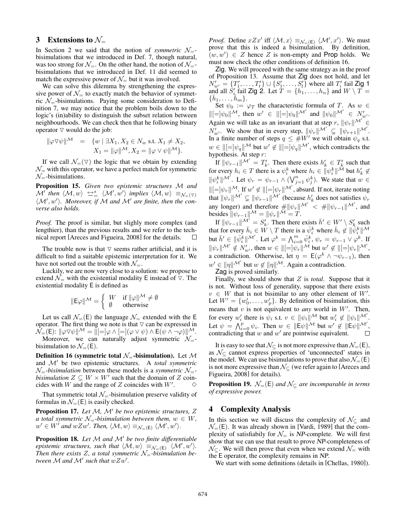## 3 Extensions to  $\mathcal{N}_{=}$

In Section 2 we said that the notion of *symmetric*  $\mathcal{N}_{=}$ bisimulations that we introduced in Def. 7, though natural, was too strong for  $\mathcal{N}_{-}$ . On the other hand, the notion of  $\mathcal{N}_{-}$ bisimulations that we introduced in Def. 11 did seemed to match the expressive power of  $\mathcal{N}_{=}$  but it was involved.

We can solve this dilemma by strengthening the expressive power of  $\mathcal{N}_{=}$  to exactly match the behavior of symmetric  $\mathcal{N}_{=}$ -bisimulations. Paying some consideration to Definition 7, we may notice that the problem boils down to the logic's (in)ability to distinguish the subset relation between neighbourhoods. We can check then that he following binary operator  $\nabla$  would do the job:

$$
\|\varphi \nabla \psi\|^{\mathcal{M}} = \{w \mid \exists X_1, X_2 \in N_w \text{ s.t. } X_1 \neq X_2, X_1 = \|\varphi\|^{\mathcal{M}}, X_2 = \|\varphi \vee \psi\|^{\mathcal{M}}\}.
$$

If we call  $\mathcal{N}_{=}(\nabla)$  the logic that we obtain by extending  $\mathcal{N}_{=}$  with this operator, we have a perfect match for symmetric  $\mathcal{N}_{=}$ -bisimulations.

Proposition 15. *Given two epistemic structures* M *and*  $\mathcal{M}'$  then  $\langle \mathcal{M}, w \rangle \Leftrightarrow_{=}^s \langle \mathcal{M}', w' \rangle$  implies  $\langle \mathcal{M}, w \rangle \equiv_{\mathcal{N}_{=}(\nabla)}$  $\langle \mathcal{M}', w' \rangle$ . Moreover, if M and M' are finite, then the con*verse also holds.*

*Proof.* The proof is similar, but slighly more complex (and lengthier), than the previous results and we refer to the technical report [Areces and Figueira, 2008] for the details.  $\Box$ 

The trouble now is that  $\nabla$  seems rather artificial, and it is difficult to find a suitable epistemic interpretation for it. We have not sorted out the trouble with  $\mathcal{N}_{-}$ .

Luckily, we are now very close to a solution: we propose to extend  $\mathcal{N}_{\equiv}$  with the existential modality E instead of  $\nabla$ . The existential modality E is defined as

$$
\|\mathsf{E}\varphi\|^\mathcal{M} = \begin{cases} W & \text{if } \|\varphi\|^\mathcal{M} \neq \emptyset \\ \emptyset & \text{otherwise} \end{cases}
$$

Let us call  $\mathcal{N}_{=}(\mathsf{E})$  the language  $\mathcal{N}_{=}$  extended with the E operator. The first thing we note is that  $\nabla$  can be expressed in  $\mathcal{N}_{=}(\mathsf{E})\colon \|\varphi\nabla\psi\|^{\mathcal{M}}=\|[\mathbin{\raisebox{.3pt}{:}\!=}]\varphi\land [\mathbin{\raisebox{.3pt}{:}\!=}](\varphi\lor\psi)\land \mathsf{E}(\psi\land\lnot\varphi)\|^{\mathcal{M}}.$ 

Moreover, we can naturally adjust symmetric  $\mathcal{N}_{=}$ bisimulation to  $\mathcal{N}_{=}(\mathsf{E}).$ 

Definition 16 (symmetric total  $\mathcal{N}_{=}$ -bisimulation). Let  $\mathcal{M}$ and  $\mathcal{M}'$  be two epistemic structures. A *total symmetric*  $\mathcal{N}_{=}$ -bisimulation between these models is a *symmetric*  $\mathcal{N}_{=}$ *bisimulation*  $Z \subseteq W \times W'$  such that the domain of Z coincides with W and the range of  $Z$  coincides with  $W'$ . .  $\Diamond$ 

That symmetric total  $\mathcal{N}_{=}$ -bisimulation preserve validity of formulas in  $\mathcal{N}_{=}(\mathsf{E})$  is easily checked.

Proposition 17. Let M, M' be two epistemic structures, Z *a* total symmetric  $N = b$  isimulation between them,  $w \in W$ ,  $w' \in W'$  and  $wZw'$ . Then,  $\langle \mathcal{M}, w \rangle \equiv_{\mathcal{N}_{=}(\mathsf{E})} \langle \mathcal{M}', w' \rangle$ .

Proposition 18. Let M and M' be two finite differentiable *epistemic structures, such that*  $\langle \mathcal{M}, w \rangle \equiv_{\mathcal{N} = (E)} \langle \mathcal{M}', w' \rangle$ . Then there exists Z, a total symmetric  $N = -b$  *bisimulation between*  $M$  *and*  $M'$  *such that*  $wZw'$ .

*Proof.* Define  $xZx'$  iff  $\langle \mathcal{M}, x \rangle \equiv_{\mathcal{N}=(E)} \langle \mathcal{M}', x' \rangle$ . We must prove that this is indeed a bisimulation. By definition,  $(w, w') \in Z$  hence Z is non-empty and Prop holds. We must now check the other conditions of definition 16 must now check the other conditions of definition 16.

Zig. We will proceed with the same strategy as in the proof of Proposition 13. Assume that Zig does not hold, and let  $N'_{w'} = \{T'_1, \ldots, T'_t\} \cup \{S'_1, \ldots, S'_t\}$  where all  $T'_i$  fail Zig 1<br>and all  $S'_i$  fail Zig 2. Let  $T = \{h_1, \ldots, h_n\}$  and  $W \setminus T = \{\bar{h}_1, \ldots, \bar{h}_m\}$  $\{h_1,\ldots,h_m\}.$ 

Set  $\psi_0 := \varphi_T$  the characteristic formula of T. As  $w \in$  $\Vert [ = ]\psi_0\Vert^{\mathcal{M}},$  then  $w' \in \Vert [ = ]\psi_0\Vert^{\mathcal{M}'}$  and  $\Vert \psi_0\Vert^{\mathcal{M}'} \in N'_{w'}.$ Again we will take as an invariant that at step r,  $\|\psi_r\|^{M'} \in$  $N'_{w'}$ . We show that in every step,  $\|\psi_r\|^{M'} \subsetneq \|\psi_{r+1}\|^{M'}$ . In a finite number of steps  $q \leq #W'$  we will obtain  $\psi_q$  s.t.  $w \in ||[=]\psi_q||^{\mathcal{M}}$  but  $w' \notin ||[=]\psi_q||^{\mathcal{M}'}$ , which contradicts the hypothesis. At step r:

If  $\|\psi_{r-1}\|^{\mathcal{M}'} = T'_{k}$ . Then there exists  $h'_{k} \in T'_{k}$  such that for every  $h_i \in T$  there is a  $\psi_i^k$  where  $h_i \in ||\psi_i^k||^{\tilde{\mathcal{M}}}$  but  $h'_k \notin ||\psi_i^k||^{\tilde{\mathcal{M}}}$ . Let  $\psi_r = \psi_{r-1} \wedge (\bigvee_{j=1}^n \psi_j^k)$ . We state that  $w \in$  $\|[-]\psi_r\|^{\mathcal{M}}$ . If  $w' \notin \|[-]\psi_r\|^{\mathcal{M}}$ , absurd. If not, iterate noting that  $\|\psi_r\|^{M'} \subsetneq \|\psi_{r-1}\|^{M'}$  (because  $h'_k$  does not satisfies  $\psi_r$ any longer) and therefore  $\frac{1}{2} ||\psi_r||^{\mathcal{M}'} < \frac{1}{2} ||\psi_{r-1}||^{\mathcal{M}'},$  and besides  $||\psi_{r-1}||^{\mathcal{M}} = ||\psi_r||^{\mathcal{M}} = T$ .

If  $\|\psi_{r-1}\|^{M'} = S'_{k}$ . Then there exists  $\bar{h}' \in W' \setminus S'_{k}$  such that for every  $\bar{h}_i \in \hat{W} \setminus T$  there is a  $\bar{\psi}_i^k$  where  $\bar{h}_i \notin ||\bar{\psi}_i^k||^{\mathcal{M}}$ but  $\bar{h}' \in ||\bar{\psi}_i^k||^{\mathcal{M}'}$ . Let  $\varphi^k = \bigwedge_{i=0}^m \bar{\psi}_i^k$ ,  $\psi_r = \psi_{r-1} \vee \varphi^k$ . If  $\|\psi_r\|^{M'} \notin N'_{w'}$ , then  $w \in \|[-]\psi_r\|^{M}$  but  $w' \notin \|[-]\psi_r\|^{M'}$ , a contradiction. Otherwise, let  $\eta = \mathsf{E}(\varphi^k \wedge \neg \psi_{r-1})$ , then  $w' \in ||\eta||^{\mathcal{M}'}$  but  $w \notin ||\eta||^{\mathcal{M}}$ . Again a contradiction.

Zag is proved similarly.

Finally, we should show that Z is *total*. Suppose that it is not. Without loss of generality, suppose that there exists  $v \in W$  that is not bisimilar to any other element of  $W'$ . Let  $W' = \{w'_0, \dots, w'_p\}$ . By definition of bisimulation, this means that  $v$  is not equivalent to *any* world in  $W'$ . Then, for every  $w'_i$  there is  $\psi_i$  s.t.  $v \in ||\psi_i||^{\mathcal{M}}$  but  $w'_i \notin ||\psi_i||^{\mathcal{M}'}$ . Let  $\psi = \bigwedge_{i=0}^p \psi_i$ . Then  $w \in ||\mathsf{E} \psi||^{\mathcal{M}}$  but  $w' \notin ||\mathsf{E} \psi||^{\mathcal{M}}$ . contradicting that  $w$  and  $w'$  are pointwise equivalent.

It is easy to see that  $\mathcal{N}_{\subseteq}$  is not more expressive than  $\mathcal{N}_{=}(\mathsf{E}),$ as  $\mathcal{N}_{\subset}$  cannot express properties of 'unconnected' states in the model. We can use bisimulations to prove that also  $\mathcal{N}_{=}(\mathsf{E})$ is not more expressive than  $\mathcal{N}_{\subseteq}$  (we refer again to [Areces and Figueira, 2008] for details).

**Proposition 19.**  $\mathcal{N}_{=}(\mathsf{E})$  *and*  $\mathcal{N}_{\subseteq}$  *are incomparable in terms of expressive power.*

### 4 Complexity Analysis

In this section we will discuss the complexity of  $\mathcal{N}_{\subset}$  and  $\mathcal{N}_{=}(\mathsf{E})$ . It was already shown in [Vardi, 1989] that the complexity of satisfiabily for  $\mathcal{N}_{=}$  is NP-complete. We will first show that we can use that result to prove NP-completeness of  $\mathcal{N}_{\subset}$ . We will then prove that even when we extend  $\mathcal{N}_{=}$  with the E operator, the complexity remains in NP.

We start with some definitions (details in [Chellas, 1980]).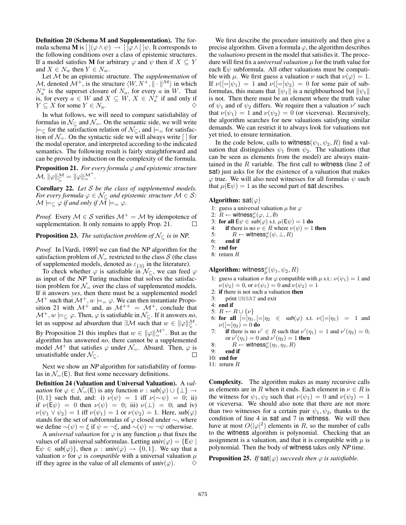Definition 20 (Schema M and Supplementation). The formula schema M is  $[ \, ](\varphi \wedge \psi) \rightarrow [ \, ]\varphi \wedge [ \, ]\psi$ . It corresponds to the following conditions over a class of epistemic structures. If a model satisfies **M** for arbitrary  $\varphi$  and  $\psi$  then if  $X \subseteq Y$ and  $X \in N_w$  then  $Y \in N_w$ .

Let M be an epistemic structure. The *supplementation* of M, denoted  $\mathcal{M}^+$ , is the structure  $\langle W, N^+, \mathbf{u} \cdot \mathbf{w} \rangle$  in which  $N_a^+$  is the superset closure of  $N_a$ , for every a in W. That is, for every  $a \in W$  and  $X \subseteq W$ ,  $X \in N_a^+$  if and only if  $Y \subseteq X$  for some  $Y \in N_a$ .

In what follows, we will need to compare satisfiability of formulas in  $\mathcal{N}_{\subseteq}$  and  $\mathcal{N}_{=}$ . On the semantic side, we will write  $\models_{\subseteq}$  for the satisfaction relation of  $\mathcal{N}_{\subseteq}$ , and  $\models_{=}$  for satisfaction of  $\mathcal{N}_{=}$ . On the syntactic side we will always write  $\lceil \cdot \rceil$  for the modal operator, and interpreted according to the indicated semantics. The following result is fairly straightforward and can be proved by induction on the complexity of the formula.

**Proposition 21.** *For every formula*  $\varphi$  *and epistemic structure*  $\mathcal{M}, \|\varphi\|_{\leq}^{\mathcal{M}} = \|\varphi\|_{\equiv}^{\mathcal{M}^{+}}.$ 

Corollary 22. *Let* S *be the class of supplemented models. For every formula*  $\varphi \in \mathcal{N}_{\subseteq}$  *and epistemic structure*  $\mathcal{M} \in \mathcal{S}$ *:*  $\mathcal{M} \models_{\subset} \varphi$  *if and only if*  $\mathcal{M} \models_{\equiv} \varphi$ .

*Proof.* Every  $M \in S$  verifies  $M^+ = M$  by idempotence of supplementation. It only remains to apply Prop. 21. supplementation. It only remains to apply Prop. 21.

**Proposition 23.** *The satisfaction problem of*  $\mathcal{N}_{\subseteq}$  *is in* NP.

*Proof.* In [Vardi, 1989] we can find the NP algorithm for the satisfaction problem of  $\mathcal{N}_{=}$  restricted to the class S (the class of supplemented models, denoted as  $\varepsilon_{\{3\}}$  in the literature).

To check whether  $\varphi$  is satisfiable in  $\mathcal{N}_{\subset}$ , we can feed  $\varphi$ as input of the NP Turing machine that solves the satisfaction problem for  $\mathcal{N}_{=}$  over the class of supplemented models. If it answers *yes*, then there must be a supplemented model  $\mathcal{M}^+$  such that  $\mathcal{M}^+, w \models = \varphi$ . We can then instantiate Proposition 21 with  $\mathcal{M}^+$  and, as  $\mathcal{M}^{++} = \mathcal{M}^+$ , conclude that  $\mathcal{M}^+$ ,  $w \models_{\subseteq} \varphi$ . Then,  $\varphi$  is satisfiable in  $\mathcal{N}_{\subseteq}$ . If it answers *no*, let us suppose ad absurdum that  $\exists \mathcal{M}$  such that  $w \in ||\varphi||_{\le}^{\mathcal{M}}$ . By Proposition 21 this implies that  $w \in ||\varphi||_{=}^{\mathcal{M}^+}$ . But as the algorithm has answered *no*, there cannot be a supplemented model  $\mathcal{M}^+$  that satisfies  $\varphi$  under  $\mathcal{N}_{=}$ . Absurd. Then,  $\varphi$  is unsatisfiable under  $\mathcal{N}_{\subseteq}$ . unsatisfiable under  $\mathcal{N}_{\subset}$ .

Next we show an NP algorithm for satisfiability of formulas in  $\mathcal{N}_{=}(\mathsf{E})$ . But first some necessary definitions.

Definition 24 (Valuation and Universal Valuation). A *valuation* for  $\varphi \in \mathcal{N}_{=}(\mathsf{E})$  is any function  $\nu : sub(\varphi) \cup {\{\perp\}} \rightarrow$  ${0, 1}$  such that, and: i)  $\nu(\psi) = 1$  iff  $\nu(\sim \psi) = 0$ ; ii) if  $\nu(E\psi) = 0$  then  $\nu(\psi) = 0$ ; iii)  $\nu(\bot) = 0$ ; and iv)  $\nu(\psi_1 \vee \psi_2)=1$  iff  $\nu(\psi_1)=1$  or  $\nu(\psi_2)=1$ . Here, sub $(\varphi)$ stands for the set of subformulas of  $\varphi$  closed under  $\sim$ , where we define  $∼(ψ) = ξ$  if  $ψ = ¬ξ$ , and  $∼(ψ) = ¬ψ$  otherwise.

A *universal valuation* for  $\varphi$  is any function  $\mu$  that fixes the values of all universal subformulas. Letting  $univ(\varphi) = \{\exists \psi \mid$  $E\psi \in sub(\varphi)$ , then  $\mu : univ(\varphi) \to \{0,1\}$ . We say that a valuation  $\nu$  for  $\varphi$  is *compatible* with a universal valuation  $\mu$ iff they agree in the value of all elements of  $univ(\varphi)$ .  $\Diamond$ 

We first describe the procedure intuitively and then give a precise algorithm. Given a formula  $\varphi$ , the algorithm describes the *valuations* present in the model that satisfies it. The procedure will first fix a *universal valuation* μ for the truth value for each  $E\psi$  subformula. All other valuations must be compatible with  $\mu$ . We first guess a valuation  $\nu$  such that  $\nu(\varphi)=1$ . If  $\nu([=]\psi_1)=1$  and  $\nu([=]\psi_2)=0$  for some pair of subformulas, this means that  $\|\psi_1\|$  is a neighbourhood but  $\|\psi_1\|$ is not. Then there must be an element where the truth value of  $\psi_1$  and of  $\psi_2$  differs. We require then a valuation  $\nu'$  such that  $\nu(\psi_1)=1$  and  $\nu(\psi_2)=0$  (or viceversa). Recursively, the algorithm searches for new valuations satisfying similar demands. We can restrict it to always look for valuations not yet tried, to ensure termination.

In the code below, calls to witness( $\psi_1, \psi_2, R$ ) find a valuation that distinguishes  $\psi_1$  from  $\psi_2$ . The valuations (that can be seen as elements from the model) are always maintained in the  $R$  variable. The first call to witness (line 2 of sat) just asks for for the existence of a valuation that makes  $\varphi$  true. We will also need witnesses for all formulas  $\psi$  such that  $\mu(E\psi)=1$  as the second part of sat describes.

#### Algorithm: sat $(\varphi)$

- 1: guess a universal valuation  $\mu$  for  $\varphi$
- 2:  $R \leftarrow \text{witness}_{\mu}^{\varphi}(\varphi, \perp, \emptyset)$ <br>3: for all  $F_{\psi} \in sub(\varphi)$  s t

3: for all 
$$
E\psi \in sub(\varphi)
$$
 s.t.  $\mu(E\psi) = 1$  do

- 4: **if** there is no  $\nu \in R$  where  $\nu(\psi) = 1$  then
- 5:  $R \leftarrow \text{witness}_{\mu}^{\varphi}(\psi, \perp, R)$ <br>6: end if
- 6: end if
- 7: end for
- 8: return R

**Algorithm:** witness $_{\mu}^{\varphi}(\psi_1, \psi_2, R)$ 

- 1: guess a valuation  $\nu$  for  $\varphi$  compatible with  $\mu$  s.t.:  $\nu(\psi_1)=1$  and  $\nu(\psi_2)=0$ , or  $\nu(\psi_1)=0$  and  $\nu(\psi_2)=1$
- 2: if there is not such a valuation then
- 3: print UNSAT and exit
- 4: end if
- 5:  $R \leftarrow R \cup \{\nu\}$
- 6: for all  $\begin{array}{rcl} \left| \equiv \right| \eta_1, \left| = \right| \eta_2 \in sub(\varphi) \text{ s.t. } \nu \left( \left| = \right| \eta_1 \right) = 1 \text{ and} \end{array}$  $\nu([=]\eta_2)=0$  do
- 7: if there is no  $\nu' \in R$  such that  $\nu'(\eta_1) = 1$  and  $\nu'(\eta_2) = 0$ , or  $\nu'(\eta_1)=0$  and  $\nu'(\eta_2)=1$  then
- 8:  $R \leftarrow$  witness $_{\mu}^{\varphi}(\eta_1, \eta_2, R)$ <br>
9⋅ end if
- 9: end if
- 10: end for
- 11: return R

Complexity. The algorithm makes as many recursive calls as elements are in R when it ends. Each element in  $\nu \in R$  is the witness for  $\psi_1, \psi_2$  such that  $\nu(\psi_1)=0$  and  $\nu(\psi_2)=1$ or viceversa. We should also note that there are not more than two witnesses for a certain pair  $\psi_1, \psi_2$ , thanks to the condition of line 4 in sat and 7 in witness. We will then have at most  $O(|\varphi|^2)$  elements in R, so the number of calls to the witness algorithm is polynomial. Checking that an assignment is a valuation, and that it is compatible with  $\mu$  is polynomial. Then the body of witness takes only NP time.

**Proposition 25.** *If*  $\text{sat}(\varphi)$  *succeeds then*  $\varphi$  *is satisfiable.*